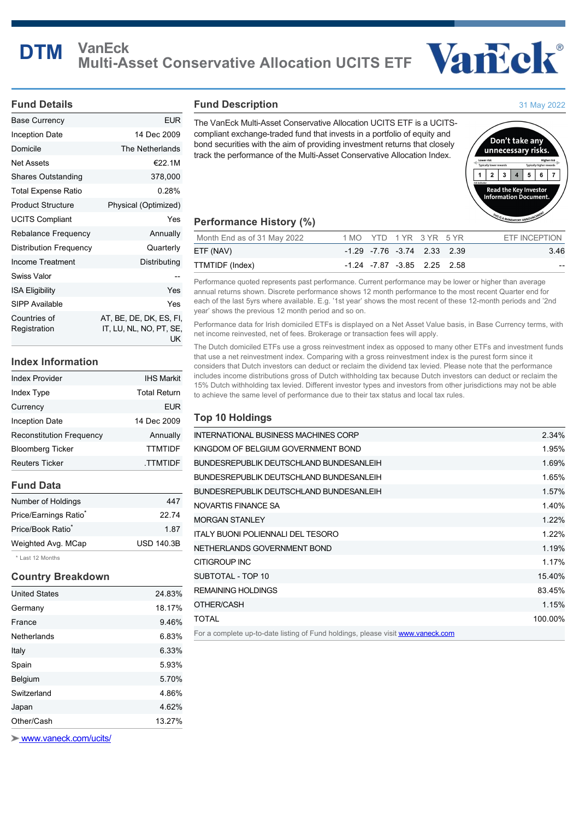

### **Fund Details**

| Base Currency                 | EUR                                                      |
|-------------------------------|----------------------------------------------------------|
| Inception Date                | 14 Dec 2009                                              |
| Domicile                      | The Netherlands                                          |
| Net Assets                    | €22.1M                                                   |
| <b>Shares Outstanding</b>     | 378,000                                                  |
| Total Expense Ratio           | 0.28%                                                    |
| <b>Product Structure</b>      | Physical (Optimized)                                     |
| <b>UCITS Compliant</b>        | Yes                                                      |
| <b>Rebalance Frequency</b>    | Annually                                                 |
| <b>Distribution Frequency</b> | Quarterly                                                |
| Income Treatment              | Distributing                                             |
| Swiss Valor                   |                                                          |
| <b>ISA Eligibility</b>        | Yes                                                      |
| SIPP Available                | Yes                                                      |
| Countries of<br>Registration  | AT, BE, DE, DK, ES, FI,<br>IT, LU, NL, NO, PT, SE,<br>UK |

# **Index Information**

| <b>IHS Markit</b>   |
|---------------------|
| <b>Total Return</b> |
| <b>EUR</b>          |
| 14 Dec 2009         |
| Annually            |
| <b>TTMTIDF</b>      |
| .TTMTIDF            |
|                     |

# **Fund Data**

| $+1$ . $+40$ $+4$ . $+1$          |                   |
|-----------------------------------|-------------------|
| Weighted Avg. MCap                | <b>USD 140.3B</b> |
| Price/Book Ratio <sup>*</sup>     | 1.87              |
| Price/Earnings Ratio <sup>*</sup> | 22.74             |
| Number of Holdings                | 447               |

Last 12 Months

## **Country Breakdown**

| Other/Cash           | 13.27% |
|----------------------|--------|
| Japan                | 4.62%  |
| Switzerland          | 4.86%  |
| Belgium              | 5.70%  |
| Spain                | 5.93%  |
| Italy                | 6.33%  |
| Netherlands          | 6.83%  |
| France               | 9.46%  |
| Germany              | 18.17% |
| <b>United States</b> | 24.83% |

 [www.vaneck.com/ucits/](http://www.vaneck.com/ucits/)

#### **Fund Description**

The VanEck Multi-Asset Conservative Allocation UCITS ETF is a UCITScompliant exchange-traded fund that invests in a portfolio of equity and bond securities with the aim of providing investment returns that closely track the performance of the Multi-Asset Conservative Allocation Index.



31 May 2022

# **Performance History (%)**

| Month End as of 31 May 2022 | 1 MO YTD 1 YR 3 YR 5 YR     |  |                             | ETF INCEPTION |
|-----------------------------|-----------------------------|--|-----------------------------|---------------|
| ETF (NAV)                   |                             |  | -1.29 -7.76 -3.74 2.33 2.39 | 3.46          |
| TTMTIDF (Index)             | -1.24 -7.87 -3.85 2.25 2.58 |  |                             | $- -$         |

Performance quoted represents past performance. Current performance may be lower or higher than average annual returns shown. Discrete performance shows 12 month performance to the most recent Quarter end for each of the last 5yrs where available. E.g. '1st year' shows the most recent of these 12-month periods and '2nd year' shows the previous 12 month period and so on.

Performance data for Irish domiciled ETFs is displayed on a Net Asset Value basis, in Base Currency terms, with net income reinvested, net of fees. Brokerage or transaction fees will apply.

The Dutch domiciled ETFs use a gross reinvestment index as opposed to many other ETFs and investment funds that use a net reinvestment index. Comparing with a gross reinvestment index is the purest form since it considers that Dutch investors can deduct or reclaim the dividend tax levied. Please note that the performance includes income distributions gross of Dutch withholding tax because Dutch investors can deduct or reclaim the 15% Dutch withholding tax levied. Different investor types and investors from other jurisdictions may not be able to achieve the same level of performance due to their tax status and local tax rules.

## **Top 10 Holdings**

| INTERNATIONAL BUSINESS MACHINES CORP                                            | 2.34%   |
|---------------------------------------------------------------------------------|---------|
| KINGDOM OF BELGIUM GOVERNMENT BOND                                              | 1.95%   |
| BUNDESREPUBLIK DEUTSCHLAND BUNDESANLEIH                                         | 1.69%   |
| BUNDESREPUBLIK DEUTSCHLAND BUNDESANLEIH                                         | 1.65%   |
| BUNDESREPUBLIK DEUTSCHLAND BUNDESANLEIH                                         | 1.57%   |
| NOVARTIS FINANCE SA                                                             | 1.40%   |
| <b>MORGAN STANLEY</b>                                                           | 1.22%   |
| <b>ITALY BUONI POLIENNALI DEL TESORO</b>                                        | 1.22%   |
| NETHERLANDS GOVERNMENT BOND                                                     | 1.19%   |
| <b>CITIGROUP INC</b>                                                            | 1.17%   |
| SUBTOTAL - TOP 10                                                               | 15.40%  |
| <b>REMAINING HOLDINGS</b>                                                       | 83.45%  |
| OTHER/CASH                                                                      | 1.15%   |
| <b>TOTAL</b>                                                                    | 100.00% |
| For a complete up-to-date listing of Fund holdings, please visit www.vaneck.com |         |